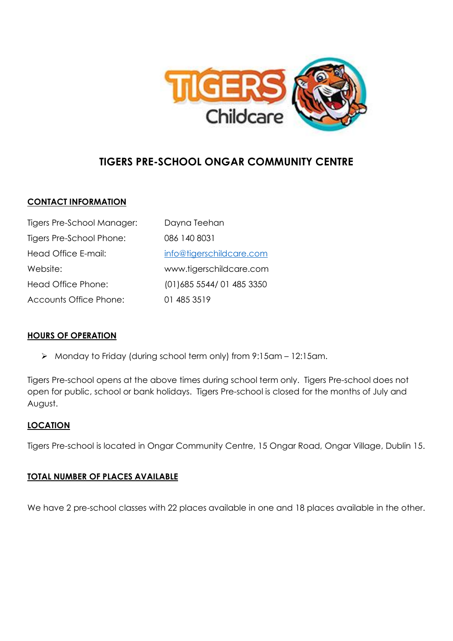

# **TIGERS PRE-SCHOOL ONGAR COMMUNITY CENTRE**

## **CONTACT INFORMATION**

| Tigers Pre-School Manager: | Dayna Teehan              |
|----------------------------|---------------------------|
| Tigers Pre-School Phone:   | 086 140 8031              |
| Head Office E-mail:        | info@tigerschildcare.com  |
| Website:                   | www.tigerschildcare.com   |
| Head Office Phone:         | (01) 685 5544/01 485 3350 |
| Accounts Office Phone:     | 01 485 3519               |

## **HOURS OF OPERATION**

➢ Monday to Friday (during school term only) from 9:15am – 12:15am.

Tigers Pre-school opens at the above times during school term only. Tigers Pre-school does not open for public, school or bank holidays. Tigers Pre-school is closed for the months of July and August.

## **LOCATION**

Tigers Pre-school is located in Ongar Community Centre, 15 Ongar Road, Ongar Village, Dublin 15.

## **TOTAL NUMBER OF PLACES AVAILABLE**

We have 2 pre-school classes with 22 places available in one and 18 places available in the other.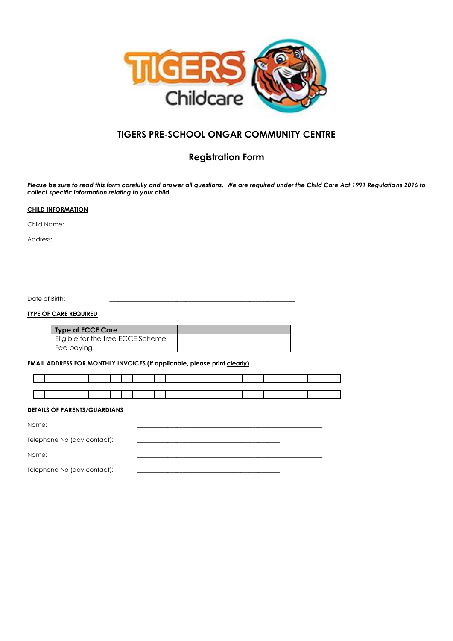

## **TIGERS PRE-SCHOOL ONGAR COMMUNITY CENTRE**

## **Registration Form**

*Please be sure to read this form carefully and answer all questions. We are required under the Child Care Act 1991 Regulations 2016 to collect specific information relating to your child.* 

#### **CHILD INFORMATION**

| Child Name:    |  |
|----------------|--|
| Address:       |  |
|                |  |
|                |  |
|                |  |
|                |  |
| Date of Birth: |  |

### **TYPE OF CARE REQUIRED**

| <b>Type of ECCE Care</b>          |  |
|-----------------------------------|--|
| Eligible for the free ECCE Scheme |  |
| Fee paying                        |  |

### **EMAIL ADDRESS FOR MONTHLY INVOICES (if applicable, please print clearly)**

#### **DETAILS OF PARENTS/GUARDIANS**

Name: \_\_\_\_\_\_\_\_\_\_\_\_\_\_\_\_\_\_\_\_\_\_\_\_\_\_\_\_\_\_\_\_\_\_\_\_\_\_\_\_\_\_\_\_\_\_\_\_\_\_\_\_\_\_\_\_\_\_\_\_\_

| Telephone No (day contact): |  |
|-----------------------------|--|
|-----------------------------|--|

Name: \_\_\_\_\_\_\_\_\_\_\_\_\_\_\_\_\_\_\_\_\_\_\_\_\_\_\_\_\_\_\_\_\_\_\_\_\_\_\_\_\_\_\_\_\_\_\_\_\_\_\_\_\_\_\_\_\_\_\_\_\_

Telephone No (day contact):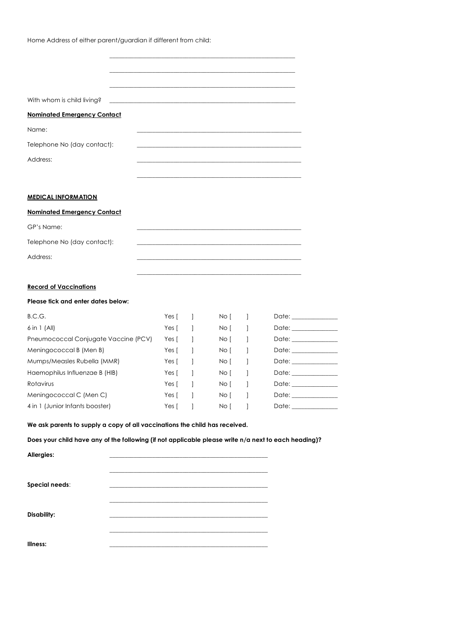Home Address of either parent/guardian if different from child:

| With whom is child living? The contract of the contract of the contract of the contract of the contract of the |  |  |  |
|----------------------------------------------------------------------------------------------------------------|--|--|--|
| <b>Nominated Emergency Contact</b>                                                                             |  |  |  |
| Name:                                                                                                          |  |  |  |
| Telephone No (day contact):                                                                                    |  |  |  |
| Address:                                                                                                       |  |  |  |
|                                                                                                                |  |  |  |
|                                                                                                                |  |  |  |

### **MEDICAL INFORMATION**

### **Nominated Emergency Contact**

| GP's Name:                  |  |
|-----------------------------|--|
| Telephone No (day contact): |  |
| Address:                    |  |
|                             |  |

### **Record of Vaccinations**

#### **Please tick and enter dates below:**

| B.C.G.                               | Yes [ | No [ | Date: |
|--------------------------------------|-------|------|-------|
| $6$ in 1 (All)                       | Yes [ | No [ | Date: |
| Pneumococcal Conjugate Vaccine (PCV) | Yes [ | No [ | Date: |
| Meningococcal B (Men B)              | Yes [ | No [ | Date: |
| Mumps/Measles Rubella (MMR)          | Yes [ | No [ | Date: |
| Haemophilus Influenzae B (HIB)       | Yes [ | No [ | Date: |
| Rotavirus                            | Yes [ | No I | Date: |
| Meningococcal C (Men C)              | Yes [ | No I | Date: |
| 4 in 1 (Junior Infants booster)      | Yes I | No I | Date: |

### **We ask parents to supply a copy of all vaccinations the child has received.**

### **Does your child have any of the following (if not applicable please write n/a next to each heading)?**

| Allergies:     |                                                                                                                                                                                                                               |
|----------------|-------------------------------------------------------------------------------------------------------------------------------------------------------------------------------------------------------------------------------|
|                |                                                                                                                                                                                                                               |
|                |                                                                                                                                                                                                                               |
| Special needs: | the control of the control of the control of the control of the control of the control of the control of the control of the control of the control of the control of the control of the control of the control of the control |
|                |                                                                                                                                                                                                                               |
|                |                                                                                                                                                                                                                               |
| Disability:    |                                                                                                                                                                                                                               |
|                |                                                                                                                                                                                                                               |
|                |                                                                                                                                                                                                                               |
| Illness:       |                                                                                                                                                                                                                               |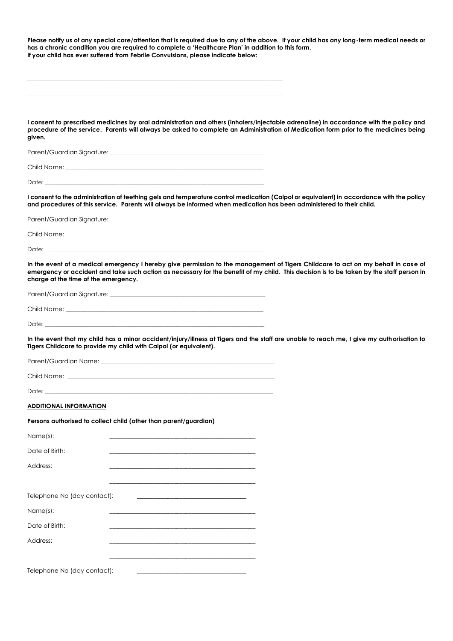| Please notify us of any special care/attention that is required due to any of the above. If your child has any long-term medical needs or<br>has a chronic condition you are required to complete a 'Healthcare Plan' in addition to this form.<br>If your child has ever suffered from Febrile Convulsions, please indicate below: |  |
|-------------------------------------------------------------------------------------------------------------------------------------------------------------------------------------------------------------------------------------------------------------------------------------------------------------------------------------|--|
|                                                                                                                                                                                                                                                                                                                                     |  |
|                                                                                                                                                                                                                                                                                                                                     |  |
|                                                                                                                                                                                                                                                                                                                                     |  |
| I consent to prescribed medicines by oral administration and others (inhalers/injectable adrenaline) in accordance with the policy and<br>procedure of the service. Parents will always be asked to complete an Administration of Medication form prior to the medicines being<br>given.                                            |  |
|                                                                                                                                                                                                                                                                                                                                     |  |
|                                                                                                                                                                                                                                                                                                                                     |  |
|                                                                                                                                                                                                                                                                                                                                     |  |
| I consent to the administration of teething gels and temperature control medication (Calpol or equivalent) in accordance with the policy<br>and procedures of this service. Parents will always be informed when medication has been administered to their child.                                                                   |  |
|                                                                                                                                                                                                                                                                                                                                     |  |
| Child Name: The contract of the contract of the contract of the contract of the contract of the contract of the contract of the contract of the contract of the contract of the contract of the contract of the contract of th                                                                                                      |  |
| Date:                                                                                                                                                                                                                                                                                                                               |  |
| In the event of a medical emergency I hereby give permission to the management of Tigers Childcare to act on my behalf in case of<br>emergency or accident and take such action as necessary for the benefit of my child. This decision is to be taken by the staff person in<br>charge at the time of the emergency.               |  |
|                                                                                                                                                                                                                                                                                                                                     |  |
|                                                                                                                                                                                                                                                                                                                                     |  |
|                                                                                                                                                                                                                                                                                                                                     |  |
| In the event that my child has a minor accident/injury/illness at Tigers and the staff are unable to reach me, I give my authorisation to<br>Tigers Childcare to provide my child with Calpol (or equivalent).                                                                                                                      |  |
|                                                                                                                                                                                                                                                                                                                                     |  |
|                                                                                                                                                                                                                                                                                                                                     |  |
| Date:                                                                                                                                                                                                                                                                                                                               |  |
| <b>ADDITIONAL INFORMATION</b>                                                                                                                                                                                                                                                                                                       |  |
| Persons authorised to collect child (other than parent/guardian)                                                                                                                                                                                                                                                                    |  |
| Name(s):                                                                                                                                                                                                                                                                                                                            |  |
| Date of Birth:                                                                                                                                                                                                                                                                                                                      |  |
| Address:                                                                                                                                                                                                                                                                                                                            |  |
|                                                                                                                                                                                                                                                                                                                                     |  |
| Telephone No (day contact):                                                                                                                                                                                                                                                                                                         |  |
| Name(s):                                                                                                                                                                                                                                                                                                                            |  |
| Date of Birth:                                                                                                                                                                                                                                                                                                                      |  |
| Address:                                                                                                                                                                                                                                                                                                                            |  |
|                                                                                                                                                                                                                                                                                                                                     |  |
| Telephone No (day contact):                                                                                                                                                                                                                                                                                                         |  |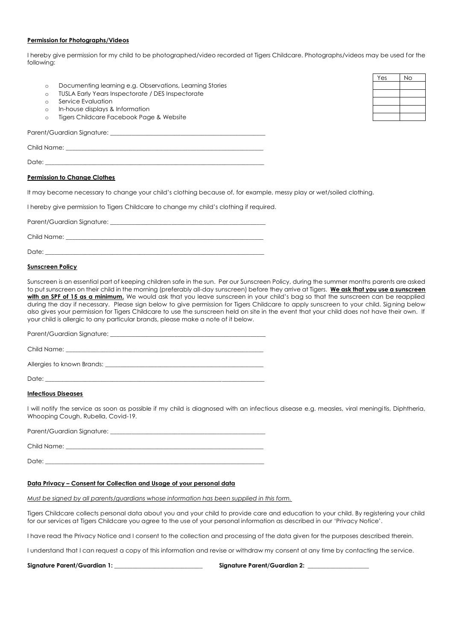#### **Permission for Photographs/Videos**

I hereby give permission for my child to be photographed/video recorded at Tigers Childcare. Photographs/videos may be used for the following:

- o Documenting learning e.g. Observations, Learning Stories
- o TUSLA Early Years Inspectorate / DES Inspectorate
- o Service Evaluation
- o In-house displays & Information
- o Tigers Childcare Facebook Page & Website

Parent/Guardian Signature:

Child Name:

Date: \_\_\_\_\_\_\_\_\_\_\_\_\_\_\_\_\_\_\_\_\_\_\_\_\_\_\_\_\_\_\_\_\_\_\_\_\_\_\_\_\_\_\_\_\_\_\_\_\_\_\_\_\_\_\_\_\_\_\_\_\_\_\_\_\_\_\_\_\_\_\_\_

#### **Permission to Change Clothes**

It may become necessary to change your child's clothing because of, for example, messy play or wet/soiled clothing.

I hereby give permission to Tigers Childcare to change my child's clothing if required.

Parent/Guardian Signature:

Child Name:

Date: \_\_\_\_\_\_\_\_\_\_\_\_\_\_\_\_\_\_\_\_\_\_\_\_\_\_\_\_\_\_\_\_\_\_\_\_\_\_\_\_\_\_\_\_\_\_\_\_\_\_\_\_\_\_\_\_\_\_\_\_\_\_\_\_\_\_\_\_\_\_\_\_

#### **Sunscreen Policy**

Sunscreen is an essential part of keeping children safe in the sun. Per our Sunscreen Policy, during the summer months parents are asked to put sunscreen on their child in the morning (preferably all-day sunscreen) before they arrive at Tigers. **We ask that you use a sunscreen**  with an SPF of 15 as a minimum. We would ask that you leave sunscreen in your child's bag so that the sunscreen can be reapplied during the day if necessary. Please sign below to give permission for Tigers Childcare to apply sunscreen to your child. Signing below also gives your permission for Tigers Childcare to use the sunscreen held on site in the event that your child does not have their own. If your child is allergic to any particular brands, please make a note of it below.

Parent/Guardian Signature: \_\_\_\_\_\_\_\_\_\_\_\_\_\_\_\_\_\_\_\_\_\_\_\_\_\_\_\_\_\_\_\_\_\_\_\_\_\_\_\_\_\_\_\_\_\_\_\_\_\_\_

Child Name:

Alleraies to known Brands:

Date:

#### **Infectious Diseases**

I will notify the service as soon as possible if my child is diagnosed with an infectious disease e.g. measles, viral meningitis, Diphtheria, Whooping Cough, Rubella, Covid-19.

Parent/Guardian Signature: \_\_\_\_\_\_\_\_\_\_\_\_\_\_\_\_\_\_\_\_\_\_\_\_\_\_\_\_\_\_\_\_\_\_\_\_\_\_\_\_\_\_\_\_\_\_\_\_\_\_\_

Child Name:

Date: \_\_\_\_\_\_\_\_\_\_\_\_\_\_\_\_\_\_\_\_\_\_\_\_\_\_\_\_\_\_\_\_\_\_\_\_\_\_\_\_\_\_\_\_\_\_\_\_\_\_\_\_\_\_\_\_\_\_\_\_\_\_\_\_\_\_\_\_\_\_\_\_

#### **Data Privacy – Consent for Collection and Usage of your personal data**

*Must be signed by all parents/guardians whose information has been supplied in this form.*

Tigers Childcare collects personal data about you and your child to provide care and education to your child. By registering your child for our services at Tigers Childcare you agree to the use of your personal information as described in our 'Privacy Notice'.

I have read the Privacy Notice and I consent to the collection and processing of the data given for the purposes described therein.

I understand that I can request a copy of this information and revise or withdraw my consent at any time by contacting the service.

**Signature Parent/Guardian 1: \_\_\_\_\_\_\_\_\_\_\_\_\_\_\_\_\_\_\_\_\_\_\_\_\_\_\_\_\_ Signature Parent/Guardian 2: \_\_\_\_\_\_\_\_\_\_\_\_\_\_\_\_\_\_\_\_**

| Yes | <b>No</b> |
|-----|-----------|
|     |           |
|     |           |
|     |           |
|     |           |
|     |           |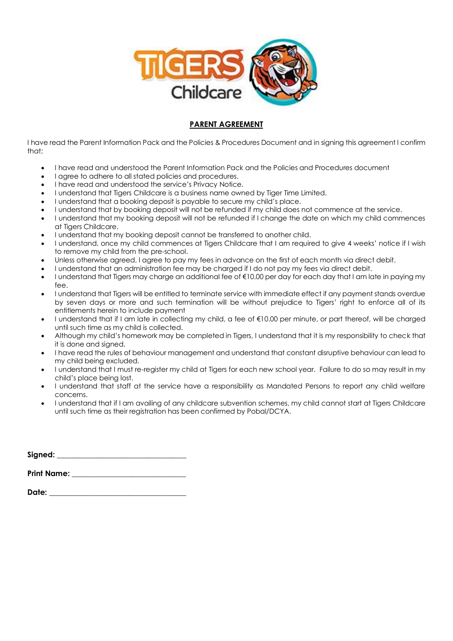

## **PARENT AGREEMENT**

I have read the Parent Information Pack and the Policies & Procedures Document and in signing this agreement I confirm that;

- I have read and understood the Parent Information Pack and the Policies and Procedures document
- I agree to adhere to all stated policies and procedures.
- I have read and understood the service's Privacy Notice.
- I understand that Tigers Childcare is a business name owned by Tiger Time Limited.
- I understand that a booking deposit is payable to secure my child's place.
- I understand that by booking deposit will not be refunded if my child does not commence at the service.
- I understand that my booking deposit will not be refunded if I change the date on which my child commences at Tigers Childcare.
- I understand that my booking deposit cannot be transferred to another child.
- I understand, once my child commences at Tigers Childcare that I am required to give 4 weeks' notice if I wish to remove my child from the pre-school.
- Unless otherwise agreed, I agree to pay my fees in advance on the first of each month via direct debit.
- I understand that an administration fee may be charged if I do not pay my fees via direct debit.
- I understand that Tigers may charge an additional fee of €10.00 per day for each day that I am late in paying my fee.
- I understand that Tigers will be entitled to terminate service with immediate effect if any payment stands overdue by seven days or more and such termination will be without prejudice to Tigers' right to enforce all of its entitlements herein to include payment
- I understand that if I am late in collecting my child, a fee of €10.00 per minute, or part thereof, will be charged until such time as my child is collected.
- Although my child's homework may be completed in Tigers, I understand that it is my responsibility to check that it is done and signed.
- I have read the rules of behaviour management and understand that constant disruptive behaviour can lead to my child being excluded.
- I understand that I must re-register my child at Tigers for each new school year. Failure to do so may result in my child's place being lost.
- I understand that staff at the service have a responsibility as Mandated Persons to report any child welfare concerns.
- I understand that if I am availing of any childcare subvention schemes, my child cannot start at Tigers Childcare until such time as their registration has been confirmed by Pobal/DCYA.

| Signed: |  |  |  |
|---------|--|--|--|
|         |  |  |  |
|         |  |  |  |

| <b>Print Name:</b> |  |
|--------------------|--|
|                    |  |

| Date: |  |  |  |
|-------|--|--|--|
|       |  |  |  |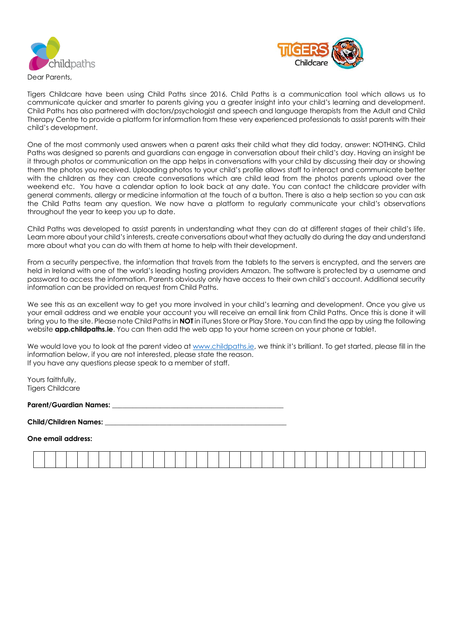



Dear Parents,

Tigers Childcare have been using Child Paths since 2016. Child Paths is a communication tool which allows us to communicate quicker and smarter to parents giving you a greater insight into your child's learning and development. Child Paths has also partnered with doctors/psychologist and speech and language therapists from the Adult and Child Therapy Centre to provide a platform for information from these very experienced professionals to assist parents with their child's development.

One of the most commonly used answers when a parent asks their child what they did today, answer: NOTHING. Child Paths was designed so parents and guardians can engage in conversation about their child's day. Having an insight be it through photos or communication on the app helps in conversations with your child by discussing their day or showing them the photos you received. Uploading photos to your child's profile allows staff to interact and communicate better with the children as they can create conversations which are child lead from the photos parents upload over the weekend etc. You have a calendar option to look back at any date. You can contact the childcare provider with general comments, allergy or medicine information at the touch of a button. There is also a help section so you can ask the Child Paths team any question. We now have a platform to regularly communicate your child's observations throughout the year to keep you up to date.

Child Paths was developed to assist parents in understanding what they can do at different stages of their child's life. Learn more about your child's interests, create conversations about what they actually do during the day and understand more about what you can do with them at home to help with their development.

From a security perspective, the information that travels from the tablets to the servers is encrypted, and the servers are held in Ireland with one of the world's leading hosting providers Amazon. The software is protected by a username and password to access the information. Parents obviously only have access to their own child's account. Additional security information can be provided on request from Child Paths.

We see this as an excellent way to get you more involved in your child's learning and development. Once you give us your email address and we enable your account you will receive an email link from Child Paths. Once this is done it will bring you to the site. Please note Child Paths in **NOT** in iTunes Store or Play Store. You can find the app by using the following website **app.childpaths.ie**. You can then add the web app to your home screen on your phone or tablet.

We would love you to look at the parent video a[t www.childpaths.ie](http://www.childpaths.ie/), we think it's brilliant. To get started, please fill in the information below, if you are not interested, please state the reason. If you have any questions please speak to a member of staff.

Yours faithfully, Tigers Childcare

**Parent/Guardian Names: \_\_\_\_\_\_\_\_\_\_\_\_\_\_\_\_\_\_\_\_\_\_\_\_\_\_\_\_\_\_\_\_\_\_\_\_\_\_\_\_\_\_\_\_\_\_\_\_\_\_**

**Child/Children Names: \_\_\_\_\_\_\_\_\_\_\_\_\_\_\_\_\_\_\_\_\_\_\_\_\_\_\_\_\_\_\_\_\_\_\_\_\_\_\_\_\_\_\_\_\_\_\_\_\_\_\_\_\_**

**One email address:** 

| the contract of the contract of the contract of |  |  |                                                                                                                 |  |  |  |  |  |  |  |  |  |  |                                                 |  | the contract of the contract of the contract of the contract of the contract of the contract of the contract of |                                                                                                                 |  |  |
|-------------------------------------------------|--|--|-----------------------------------------------------------------------------------------------------------------|--|--|--|--|--|--|--|--|--|--|-------------------------------------------------|--|-----------------------------------------------------------------------------------------------------------------|-----------------------------------------------------------------------------------------------------------------|--|--|
|                                                 |  |  |                                                                                                                 |  |  |  |  |  |  |  |  |  |  |                                                 |  |                                                                                                                 |                                                                                                                 |  |  |
|                                                 |  |  |                                                                                                                 |  |  |  |  |  |  |  |  |  |  |                                                 |  |                                                                                                                 |                                                                                                                 |  |  |
|                                                 |  |  |                                                                                                                 |  |  |  |  |  |  |  |  |  |  |                                                 |  |                                                                                                                 |                                                                                                                 |  |  |
|                                                 |  |  |                                                                                                                 |  |  |  |  |  |  |  |  |  |  |                                                 |  |                                                                                                                 |                                                                                                                 |  |  |
|                                                 |  |  | the contract of the contract of the contract of the contract of the contract of the contract of the contract of |  |  |  |  |  |  |  |  |  |  | the contract of the contract of the contract of |  |                                                                                                                 | the contract of the contract of the contract of the contract of the contract of the contract of the contract of |  |  |
|                                                 |  |  |                                                                                                                 |  |  |  |  |  |  |  |  |  |  |                                                 |  |                                                                                                                 |                                                                                                                 |  |  |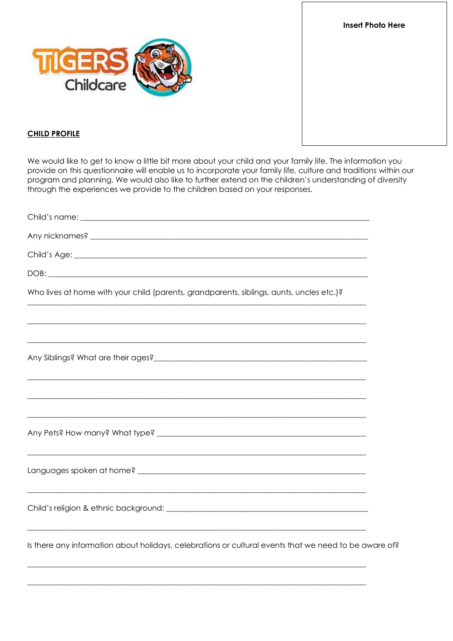**Insert Photo Here** 



## **CHILD PROFILE**

We would like to get to know a little bit more about your child and your family life. The information you provide on this questionnaire will enable us to incorporate your family life, culture and traditions within our program and planning. We would also like to further extend on the children's understanding of diversity through the experiences we provide to the children based on your responses.

| Any nicknames? Any nicknames?                                                                         |
|-------------------------------------------------------------------------------------------------------|
|                                                                                                       |
|                                                                                                       |
| Who lives at home with your child (parents, grandparents, siblings, aunts, uncles etc.)?              |
|                                                                                                       |
|                                                                                                       |
|                                                                                                       |
|                                                                                                       |
|                                                                                                       |
|                                                                                                       |
| Is there any information about holidays, celebrations or cultural events that we need to be aware of? |
|                                                                                                       |